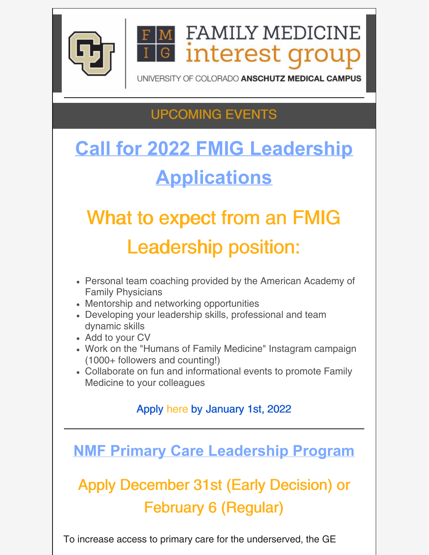

**FAMILY MEDICINE** interest grou G

SITY OF COLORADO ANSCHUTZ MEDICAL CAMPUS

### UPCOMING EVENTS

## **Call for 2022 FMIG Leadership Applications**

# What to expect from an FMIG Leadership position:

- Personal team coaching provided by the American Academy of Family Physicians
- Mentorship and networking opportunities
- Developing your leadership skills, professional and team dynamic skills
- Add to your CV
- Work on the "Humans of Family Medicine" Instagram campaign (1000+ followers and counting!)
- Collaborate on fun and informational events to promote Family Medicine to your colleagues

#### Apply [here](https://docs.google.com/forms/d/e/1FAIpQLSfk6i7pLeZu5jsIXSjYRv6SSu2XGucvm1waQDuwHauej4Tk1Q/viewform) by [J](https://ucdenver.zoom.us/j/94324358592)anuary 1st, 2022

**NMF Primary Care Leadership Program**

## Apply December 31st (Early Decision) or February 6 (Regular)

To increase access to primary care for the underserved, the GE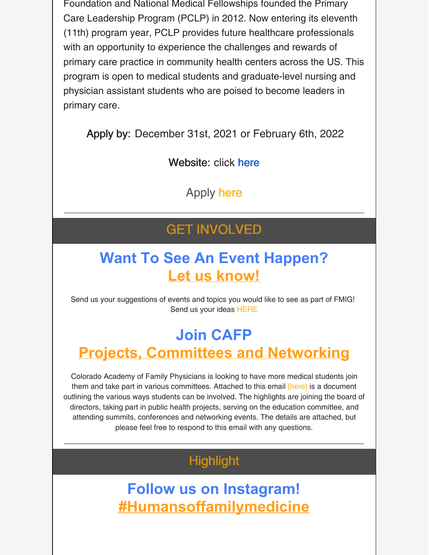Foundation and National Medical Fellowships founded the Primary Care Leadership Program (PCLP) in 2012. Now entering its eleventh (11th) program year, PCLP provides future healthcare professionals with an opportunity to experience the challenges and rewards of primary care practice in community health centers across the US. This program is open to medical students and graduate-level nursing and physician assistant students who are poised to become leaders in primary care.

Apply by: December 31st, 2021 or February 6th, 2022

Website: click [here](https://nmfonline.org/about-our-scholarships-and-awards/service-learning-programs/nmf-primary-care-leadership-program/?utm_medium=email&utm_campaign=PCLP Opening NMF Scholarships  Programs - October 26 2021&utm_content=PCLP Opening NMF Scholarships  Programs - October 26 2021+Preview+CID_81aa272ae3e58816e64c3e6eadd99397&utm_source=Email marketing software&utm_term=The NMF Primary Care Leadership Program)

Apply [here](https://nmf.smapply.io/)

#### GET INVOLVED

#### **Want To See An Event Happen? Let us know!**

Send us your suggestions of events and topics you would like to see as part of FMIG! Send us your ideas [HERE](https://forms.gle/6hGn9mDpepsrhQKG9)

#### **Join CAFP Projects, Committees and Networking**

Colorado Academy of Family Physicians is looking to have more medical students join them and take part in various committees. Attached to this email [\(here\)](https://files.constantcontact.com/29e4ace2701/83161f45-7b2e-4370-a11c-4547d08ac705.docx?rdr=true) is a document outlining the various ways students can be involved. The highlights are joining the board of directors, taking part in public health projects, serving on the education committee, and attending summits, conferences and networking events. The details are attached, but please feel free to respond to this email with any questions.

#### **Highlight**

**Follow us on Instagram! [#Humansoffamilymedicine](https://www.instagram.com/humansoffamilymedicine/)**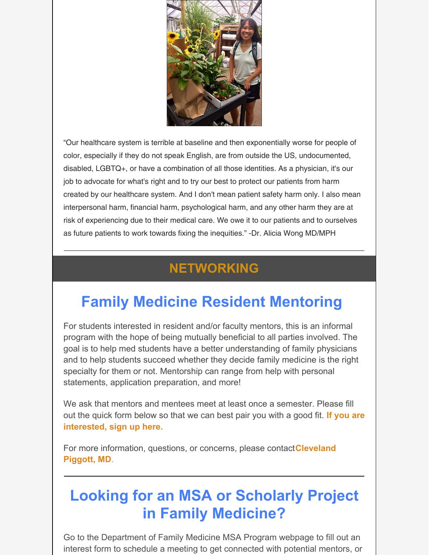

"Our healthcare system is terrible at baseline and then exponentially worse for people of color, especially if they do not speak English, are from outside the US, undocumented, disabled, LGBTQ+, or have a combination of all those identities. As a physician, it's our job to advocate for what's right and to try our best to protect our patients from harm created by our healthcare system. And I don't mean patient safety harm only. I also mean interpersonal harm, financial harm, psychological harm, and any other harm they are at risk of experiencing due to their medical care. We owe it to our patients and to ourselves as future patients to work towards fixing the inequities." -Dr. Alicia Wong MD/MPH

#### **NETWORKING**

### **Family Medicine Resident Mentoring**

For students interested in resident and/or faculty mentors, this is an informal program with the hope of being mutually beneficial to all parties involved. The goal is to help med students have a better understanding of family physicians and to help students succeed whether they decide family medicine is the right specialty for them or not. Mentorship can range from help with personal statements, application preparation, and more!

We ask that mentors and mentees meet at least once a semester. Please fill out the quick form below so that we can best pair you with a good fit. **If you are [interested,](https://docs.google.com/forms/d/e/1FAIpQLSevbHXs2CWwKSZjpZNhmc22hHs9MJwb7s1D5aKo6FyfMQ7nXA/viewform?c=0&w=1) sign up here.**

For more [information,](mailto:cleveland.piggott@ucdenver.edu) questions, or concerns, please contact**Cleveland Piggott, MD**.

#### **Looking for an MSA or Scholarly Project in Family Medicine?**

Go to the Department of Family Medicine MSA Program webpage to fill out an interest form to schedule a meeting to get connected with potential mentors, or